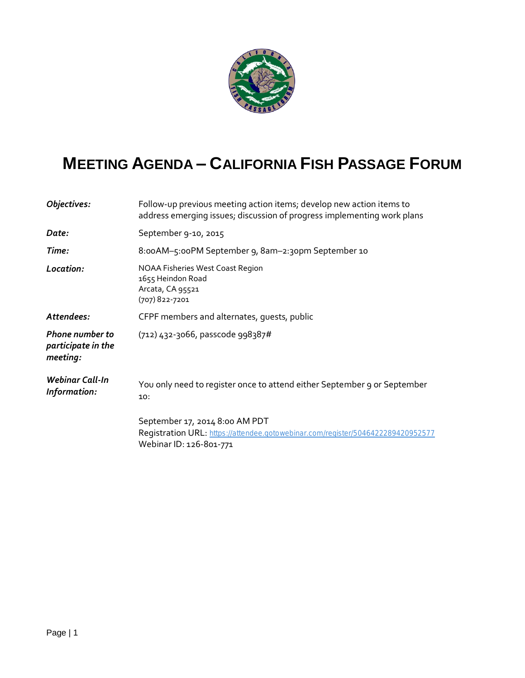

## **MEETING AGENDA – CALIFORNIA FISH PASSAGE FORUM**

| Objectives:                                              | Follow-up previous meeting action items; develop new action items to<br>address emerging issues; discussion of progress implementing work plans |
|----------------------------------------------------------|-------------------------------------------------------------------------------------------------------------------------------------------------|
| Date:                                                    | September 9-10, 2015                                                                                                                            |
| Time:                                                    | 8:00AM-5:00PM September 9, 8am-2:30pm September 10                                                                                              |
| Location:                                                | NOAA Fisheries West Coast Region<br>1655 Heindon Road<br>Arcata, CA 95521<br>(707) 822-7201                                                     |
| Attendees:                                               | CFPF members and alternates, quests, public                                                                                                     |
| <b>Phone number to</b><br>participate in the<br>meeting: | (712) 432-3066, passcode 998387#                                                                                                                |
| <b>Webinar Call-In</b><br>Information:                   | You only need to register once to attend either September 9 or September<br>10:                                                                 |
|                                                          | September 17, 2014 8:00 AM PDT<br>Registration URL: https://attendee.gotowebinar.com/register/5046422289420952577<br>Webinar ID: 126-801-771    |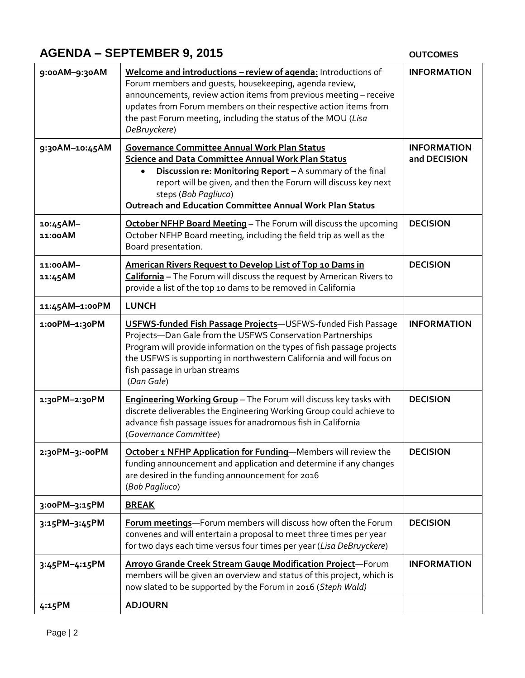## **AGENDA – SEPTEMBER 9, 2015**

## **OUTCOMES**

| 9:00AM-9:30AM       | Welcome and introductions - review of agenda: Introductions of<br>Forum members and guests, housekeeping, agenda review,<br>announcements, review action items from previous meeting - receive<br>updates from Forum members on their respective action items from<br>the past Forum meeting, including the status of the MOU (Lisa<br>DeBruyckere) | <b>INFORMATION</b>                 |
|---------------------|-----------------------------------------------------------------------------------------------------------------------------------------------------------------------------------------------------------------------------------------------------------------------------------------------------------------------------------------------------|------------------------------------|
| 9:30AM-10:45AM      | <b>Governance Committee Annual Work Plan Status</b><br><b>Science and Data Committee Annual Work Plan Status</b><br>Discussion re: Monitoring Report - A summary of the final<br>report will be given, and then the Forum will discuss key next<br>steps (Bob Pagliuco)<br><b>Outreach and Education Committee Annual Work Plan Status</b>          | <b>INFORMATION</b><br>and DECISION |
| 10:45AM-<br>11:00AM | October NFHP Board Meeting - The Forum will discuss the upcoming<br>October NFHP Board meeting, including the field trip as well as the<br>Board presentation.                                                                                                                                                                                      | <b>DECISION</b>                    |
| 11:00AM-<br>11:45AM | American Rivers Request to Develop List of Top 10 Dams in<br>California - The Forum will discuss the request by American Rivers to<br>provide a list of the top 10 dams to be removed in California                                                                                                                                                 | <b>DECISION</b>                    |
| 11:45AM-1:00PM      | <b>LUNCH</b>                                                                                                                                                                                                                                                                                                                                        |                                    |
| 1:00PM-1:30PM       | <b>USFWS-funded Fish Passage Projects-USFWS-funded Fish Passage</b><br>Projects-Dan Gale from the USFWS Conservation Partnerships<br>Program will provide information on the types of fish passage projects<br>the USFWS is supporting in northwestern California and will focus on<br>fish passage in urban streams<br>(Dan Gale)                  | <b>INFORMATION</b>                 |
| 1:30PM-2:30PM       | Engineering Working Group - The Forum will discuss key tasks with<br>discrete deliverables the Engineering Working Group could achieve to<br>advance fish passage issues for anadromous fish in California<br>(Governance Committee)                                                                                                                | <b>DECISION</b>                    |
| 2:30PM-3:-00PM      | October 1 NFHP Application for Funding-Members will review the<br>funding announcement and application and determine if any changes<br>are desired in the funding announcement for 2016<br>(Bob Pagliuco)                                                                                                                                           | <b>DECISION</b>                    |
| 3:00PM-3:15PM       | <b>BREAK</b>                                                                                                                                                                                                                                                                                                                                        |                                    |
| 3:15PM-3:45PM       | Forum meetings-Forum members will discuss how often the Forum<br>convenes and will entertain a proposal to meet three times per year<br>for two days each time versus four times per year (Lisa DeBruyckere)                                                                                                                                        | <b>DECISION</b>                    |
| 3:45PM-4:15PM       | Arroyo Grande Creek Stream Gauge Modification Project-Forum<br>members will be given an overview and status of this project, which is<br>now slated to be supported by the Forum in 2016 (Steph Wald)                                                                                                                                               | <b>INFORMATION</b>                 |
| 4:15PM              | <b>ADJOURN</b>                                                                                                                                                                                                                                                                                                                                      |                                    |